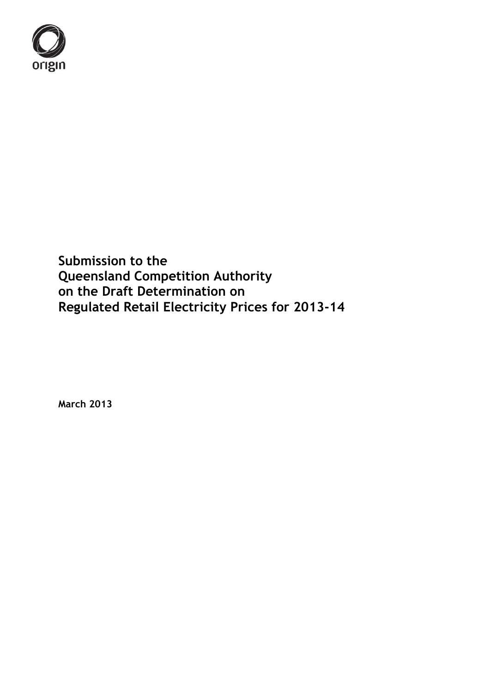

**Submission to the Queensland Competition Authority on the Draft Determination on Regulated Retail Electricity Prices for 2013-14**

**March 2013**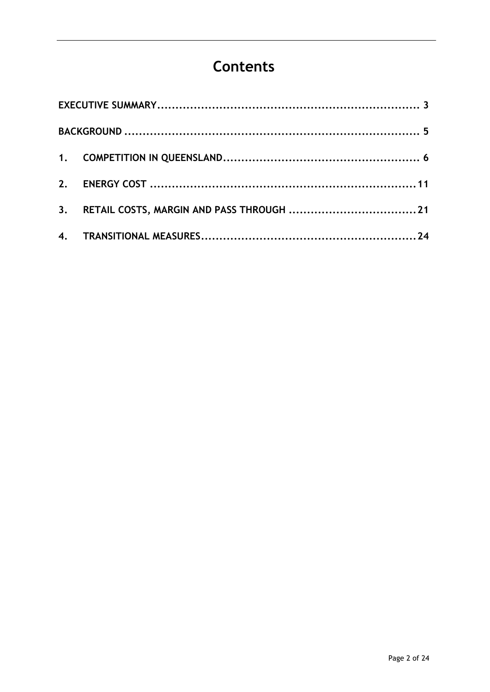# **Contents**

| 3. |  |
|----|--|
|    |  |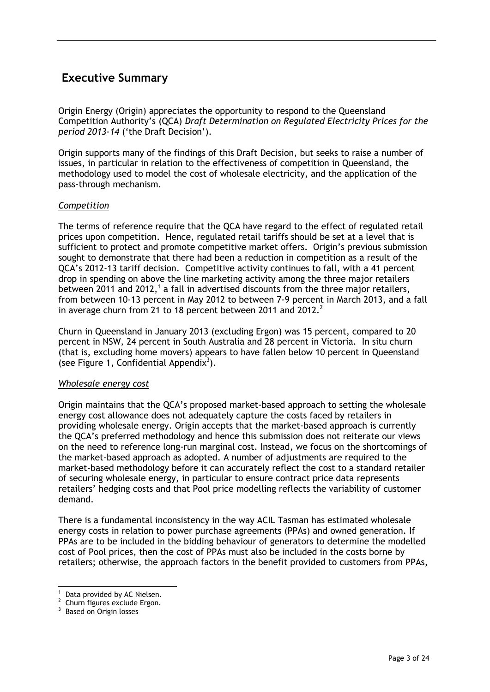## <span id="page-2-0"></span>**Executive Summary**

Origin Energy (Origin) appreciates the opportunity to respond to the Queensland Competition Authority"s (QCA) *Draft Determination on Regulated Electricity Prices for the period 2013-14* ("the Draft Decision").

Origin supports many of the findings of this Draft Decision, but seeks to raise a number of issues, in particular in relation to the effectiveness of competition in Queensland, the methodology used to model the cost of wholesale electricity, and the application of the pass-through mechanism.

#### *Competition*

The terms of reference require that the QCA have regard to the effect of regulated retail prices upon competition. Hence, regulated retail tariffs should be set at a level that is sufficient to protect and promote competitive market offers. Origin's previous submission sought to demonstrate that there had been a reduction in competition as a result of the QCA"s 2012-13 tariff decision. Competitive activity continues to fall, with a 41 percent drop in spending on above the line marketing activity among the three major retailers between 2011 and 2012,<sup>1</sup> a fall in advertised discounts from the three major retailers, from between 10-13 percent in May 2012 to between 7-9 percent in March 2013, and a fall in average churn from 21 to 18 percent between 2011 and 2012. $^2$ 

Churn in Queensland in January 2013 (excluding Ergon) was 15 percent, compared to 20 percent in NSW, 24 percent in South Australia and 28 percent in Victoria. In situ churn (that is, excluding home movers) appears to have fallen below 10 percent in Queensland (see Figure 1, Confidential Appendix<sup>3</sup>).

#### *Wholesale energy cost*

Origin maintains that the QCA"s proposed market-based approach to setting the wholesale energy cost allowance does not adequately capture the costs faced by retailers in providing wholesale energy. Origin accepts that the market-based approach is currently the QCA"s preferred methodology and hence this submission does not reiterate our views on the need to reference long-run marginal cost. Instead, we focus on the shortcomings of the market-based approach as adopted. A number of adjustments are required to the market-based methodology before it can accurately reflect the cost to a standard retailer of securing wholesale energy, in particular to ensure contract price data represents retailers" hedging costs and that Pool price modelling reflects the variability of customer demand.

There is a fundamental inconsistency in the way ACIL Tasman has estimated wholesale energy costs in relation to power purchase agreements (PPAs) and owned generation. If PPAs are to be included in the bidding behaviour of generators to determine the modelled cost of Pool prices, then the cost of PPAs must also be included in the costs borne by retailers; otherwise, the approach factors in the benefit provided to customers from PPAs,

 $\overline{a}$  $1$  Data provided by AC Nielsen.

 $2$  Churn figures exclude Ergon.

<sup>&</sup>lt;sup>3</sup> Based on Origin losses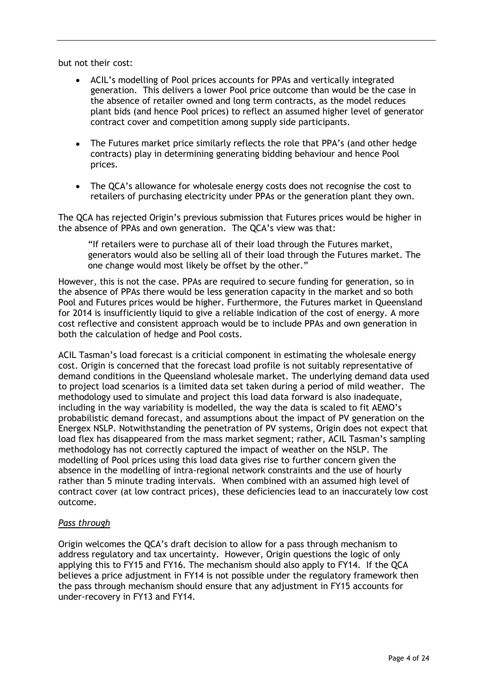but not their cost:

- ACIL"s modelling of Pool prices accounts for PPAs and vertically integrated generation. This delivers a lower Pool price outcome than would be the case in the absence of retailer owned and long term contracts, as the model reduces plant bids (and hence Pool prices) to reflect an assumed higher level of generator contract cover and competition among supply side participants.
- The Futures market price similarly reflects the role that PPA"s (and other hedge  $\bullet$ contracts) play in determining generating bidding behaviour and hence Pool prices.
- The QCA"s allowance for wholesale energy costs does not recognise the cost to retailers of purchasing electricity under PPAs or the generation plant they own.

The QCA has rejected Origin"s previous submission that Futures prices would be higher in the absence of PPAs and own generation. The QCA"s view was that:

"If retailers were to purchase all of their load through the Futures market, generators would also be selling all of their load through the Futures market. The one change would most likely be offset by the other."

However, this is not the case. PPAs are required to secure funding for generation, so in the absence of PPAs there would be less generation capacity in the market and so both Pool and Futures prices would be higher. Furthermore, the Futures market in Queensland for 2014 is insufficiently liquid to give a reliable indication of the cost of energy. A more cost reflective and consistent approach would be to include PPAs and own generation in both the calculation of hedge and Pool costs.

ACIL Tasman"s load forecast is a criticial component in estimating the wholesale energy cost. Origin is concerned that the forecast load profile is not suitably representative of demand conditions in the Queensland wholesale market. The underlying demand data used to project load scenarios is a limited data set taken during a period of mild weather. The methodology used to simulate and project this load data forward is also inadequate, including in the way variability is modelled, the way the data is scaled to fit AEMO"s probabilistic demand forecast, and assumptions about the impact of PV generation on the Energex NSLP. Notwithstanding the penetration of PV systems, Origin does not expect that load flex has disappeared from the mass market segment; rather, ACIL Tasman"s sampling methodology has not correctly captured the impact of weather on the NSLP. The modelling of Pool prices using this load data gives rise to further concern given the absence in the modelling of intra-regional network constraints and the use of hourly rather than 5 minute trading intervals. When combined with an assumed high level of contract cover (at low contract prices), these deficiencies lead to an inaccurately low cost outcome.

#### *Pass through*

Origin welcomes the QCA"s draft decision to allow for a pass through mechanism to address regulatory and tax uncertainty. However, Origin questions the logic of only applying this to FY15 and FY16. The mechanism should also apply to FY14. If the QCA believes a price adjustment in FY14 is not possible under the regulatory framework then the pass through mechanism should ensure that any adjustment in FY15 accounts for under-recovery in FY13 and FY14.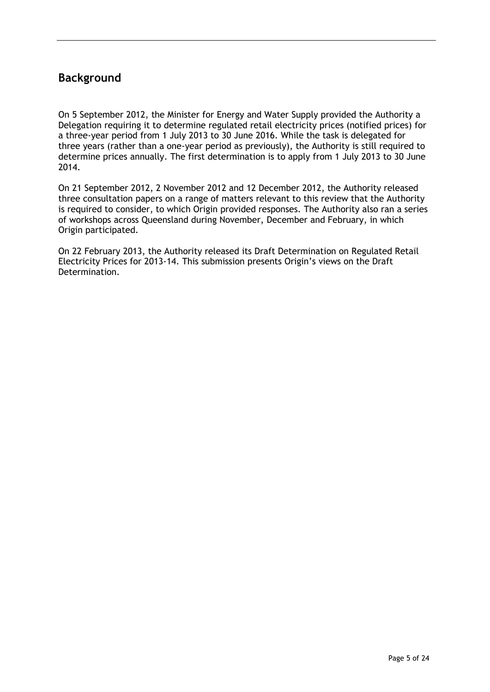## <span id="page-4-0"></span>**Background**

On 5 September 2012, the Minister for Energy and Water Supply provided the Authority a Delegation requiring it to determine regulated retail electricity prices (notified prices) for a three-year period from 1 July 2013 to 30 June 2016. While the task is delegated for three years (rather than a one-year period as previously), the Authority is still required to determine prices annually. The first determination is to apply from 1 July 2013 to 30 June 2014.

On 21 September 2012, 2 November 2012 and 12 December 2012, the Authority released three consultation papers on a range of matters relevant to this review that the Authority is required to consider, to which Origin provided responses. The Authority also ran a series of workshops across Queensland during November, December and February, in which Origin participated.

On 22 February 2013, the Authority released its Draft Determination on Regulated Retail Electricity Prices for 2013-14. This submission presents Origin"s views on the Draft Determination.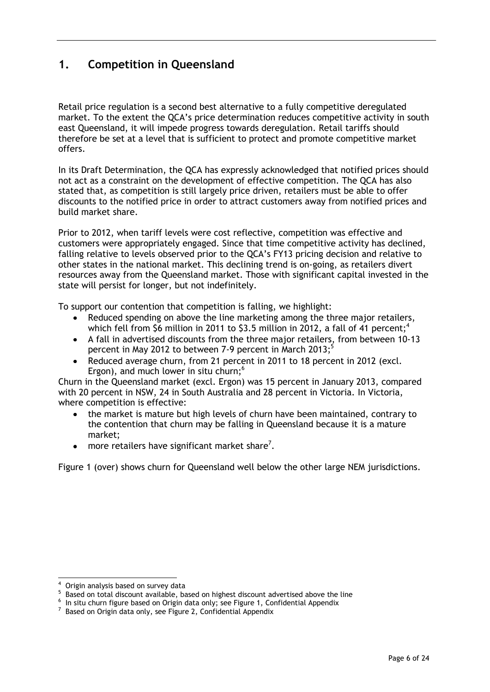## <span id="page-5-0"></span>**1. Competition in Queensland**

Retail price regulation is a second best alternative to a fully competitive deregulated market. To the extent the QCA"s price determination reduces competitive activity in south east Queensland, it will impede progress towards deregulation. Retail tariffs should therefore be set at a level that is sufficient to protect and promote competitive market offers.

In its Draft Determination, the QCA has expressly acknowledged that notified prices should not act as a constraint on the development of effective competition. The QCA has also stated that, as competition is still largely price driven, retailers must be able to offer discounts to the notified price in order to attract customers away from notified prices and build market share.

Prior to 2012, when tariff levels were cost reflective, competition was effective and customers were appropriately engaged. Since that time competitive activity has declined, falling relative to levels observed prior to the QCA"s FY13 pricing decision and relative to other states in the national market. This declining trend is on-going, as retailers divert resources away from the Queensland market. Those with significant capital invested in the state will persist for longer, but not indefinitely.

To support our contention that competition is falling, we highlight:

- Reduced spending on above the line marketing among the three major retailers, which fell from \$6 million in 2011 to \$3.5 million in 2012, a fall of 41 percent;<sup>4</sup>
- A fall in advertised discounts from the three major retailers, from between 10-13 percent in May 2012 to between 7-9 percent in March 2013; 5
- Reduced average churn, from 21 percent in 2011 to 18 percent in 2012 (excl. Ergon), and much lower in situ churn;<sup>6</sup>

Churn in the Queensland market (excl. Ergon) was 15 percent in January 2013, compared with 20 percent in NSW, 24 in South Australia and 28 percent in Victoria. In Victoria, where competition is effective:

- the market is mature but high levels of churn have been maintained, contrary to the contention that churn may be falling in Queensland because it is a mature market;
- more retailers have significant market share<sup>7</sup>.  $\bullet$

Figure 1 (over) shows churn for Queensland well below the other large NEM jurisdictions.

l

<sup>4</sup> Origin analysis based on survey data

<sup>&</sup>lt;sup>5</sup> Based on total discount available, based on highest discount advertised above the line

 $^6$  In situ churn figure based on Origin data only; see Figure 1, Confidential Appendix

 $7$  Based on Origin data only, see Figure 2, Confidential Appendix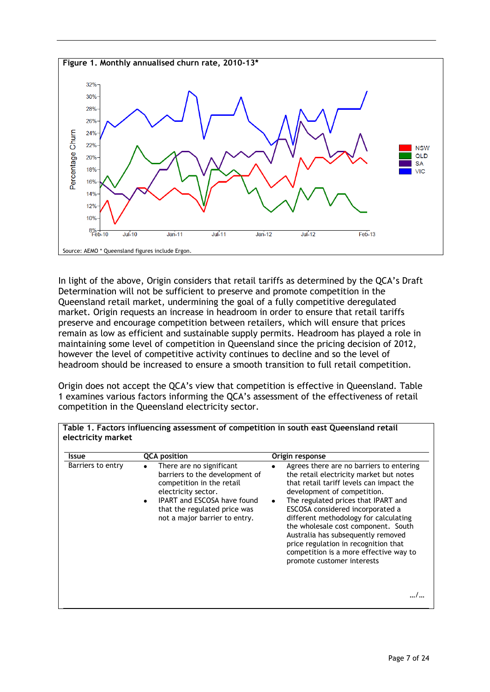

In light of the above, Origin considers that retail tariffs as determined by the QCA"s Draft Determination will not be sufficient to preserve and promote competition in the Queensland retail market, undermining the goal of a fully competitive deregulated market. Origin requests an increase in headroom in order to ensure that retail tariffs preserve and encourage competition between retailers, which will ensure that prices remain as low as efficient and sustainable supply permits. Headroom has played a role in maintaining some level of competition in Queensland since the pricing decision of 2012, however the level of competitive activity continues to decline and so the level of headroom should be increased to ensure a smooth transition to full retail competition.

Origin does not accept the QCA"s view that competition is effective in Queensland. Table 1 examines various factors informing the QCA"s assessment of the effectiveness of retail competition in the Queensland electricity sector.

| Barriers to entry |                                                                                                                                                                                                                            | Origin response                                                                                                                                                                                                                                                                                                                                                                                                                                                                              |  |  |
|-------------------|----------------------------------------------------------------------------------------------------------------------------------------------------------------------------------------------------------------------------|----------------------------------------------------------------------------------------------------------------------------------------------------------------------------------------------------------------------------------------------------------------------------------------------------------------------------------------------------------------------------------------------------------------------------------------------------------------------------------------------|--|--|
|                   | There are no significant<br>٠<br>barriers to the development of<br>competition in the retail<br>electricity sector.<br><b>IPART</b> and ESCOSA have found<br>that the regulated price was<br>not a major barrier to entry. | Agrees there are no barriers to entering<br>the retail electricity market but notes<br>that retail tariff levels can impact the<br>development of competition.<br>The regulated prices that IPART and<br>$\bullet$<br>ESCOSA considered incorporated a<br>different methodology for calculating<br>the wholesale cost component. South<br>Australia has subsequently removed<br>price regulation in recognition that<br>competition is a more effective way to<br>promote customer interests |  |  |

**Table 1. Factors influencing assessment of competition in south east Queensland retail**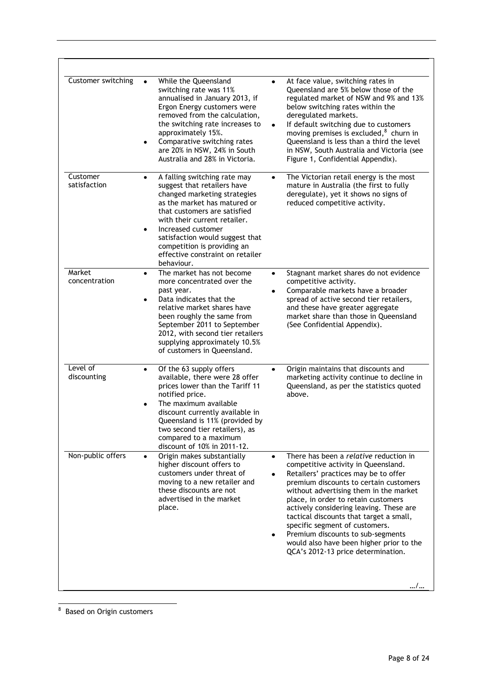| Customer switching       | While the Queensland<br>switching rate was 11%<br>annualised in January 2013, if<br>Ergon Energy customers were<br>removed from the calculation,<br>the switching rate increases to<br>approximately 15%.<br>Comparative switching rates<br>٠<br>are 20% in NSW, 24% in South<br>Australia and 28% in Victoria.                                                 | At face value, switching rates in<br>٠<br>Queensland are 5% below those of the<br>regulated market of NSW and 9% and 13%<br>below switching rates within the<br>deregulated markets.<br>If default switching due to customers<br>moving premises is excluded, $8$ churn in<br>Queensland is less than a third the level<br>in NSW, South Australia and Victoria (see<br>Figure 1, Confidential Appendix).                                                                                                         |
|--------------------------|-----------------------------------------------------------------------------------------------------------------------------------------------------------------------------------------------------------------------------------------------------------------------------------------------------------------------------------------------------------------|-------------------------------------------------------------------------------------------------------------------------------------------------------------------------------------------------------------------------------------------------------------------------------------------------------------------------------------------------------------------------------------------------------------------------------------------------------------------------------------------------------------------|
| Customer<br>satisfaction | A falling switching rate may<br>$\bullet$<br>suggest that retailers have<br>changed marketing strategies<br>as the market has matured or<br>that customers are satisfied<br>with their current retailer.<br>Increased customer<br>$\bullet$<br>satisfaction would suggest that<br>competition is providing an<br>effective constraint on retailer<br>behaviour. | The Victorian retail energy is the most<br>$\bullet$<br>mature in Australia (the first to fully<br>deregulate), yet it shows no signs of<br>reduced competitive activity.                                                                                                                                                                                                                                                                                                                                         |
| Market<br>concentration  | The market has not become<br>$\bullet$<br>more concentrated over the<br>past year.<br>Data indicates that the<br>٠<br>relative market shares have<br>been roughly the same from<br>September 2011 to September<br>2012, with second tier retailers<br>supplying approximately 10.5%<br>of customers in Queensland.                                              | Stagnant market shares do not evidence<br>$\bullet$<br>competitive activity.<br>Comparable markets have a broader<br>spread of active second tier retailers,<br>and these have greater aggregate<br>market share than those in Queensland<br>(See Confidential Appendix).                                                                                                                                                                                                                                         |
| Level of<br>discounting  | Of the 63 supply offers<br>$\bullet$<br>available, there were 28 offer<br>prices lower than the Tariff 11<br>notified price.<br>The maximum available<br>٠<br>discount currently available in<br>Queensland is 11% (provided by<br>two second tier retailers), as<br>compared to a maximum<br>discount of 10% in 2011-12.                                       | Origin maintains that discounts and<br>$\bullet$<br>marketing activity continue to decline in<br>Queensland, as per the statistics quoted<br>above.                                                                                                                                                                                                                                                                                                                                                               |
| Non-public offers        | Origin makes substantially<br>$\bullet$<br>higher discount offers to<br>customers under threat of<br>moving to a new retailer and<br>these discounts are not<br>advertised in the market<br>place.                                                                                                                                                              | There has been a relative reduction in<br>$\bullet$<br>competitive activity in Queensland.<br>Retailers' practices may be to offer<br>premium discounts to certain customers<br>without advertising them in the market<br>place, in order to retain customers<br>actively considering leaving. These are<br>tactical discounts that target a small,<br>specific segment of customers.<br>Premium discounts to sub-segments<br>would also have been higher prior to the<br>QCA's 2012-13 price determination.<br>/ |

<sup>&</sup>lt;u>and the controller of the set of the set of the set of the set of the set of the set of the set of the set of the s</u>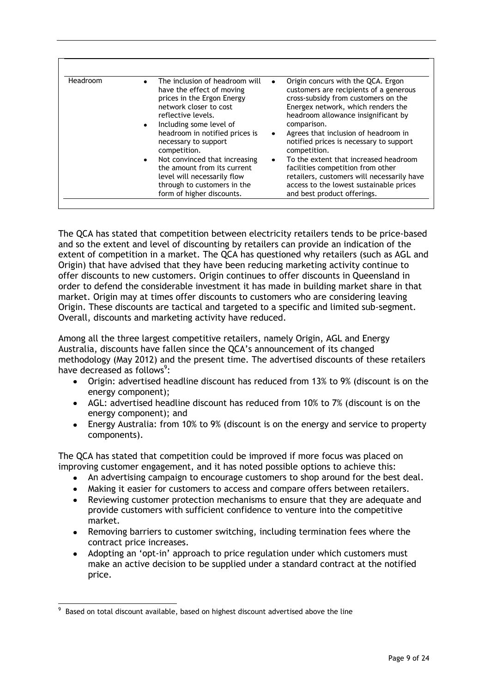| Headroom | The inclusion of headroom will<br>$\bullet$<br>have the effect of moving<br>prices in the Ergon Energy<br>network closer to cost<br>reflective levels.<br>Including some level of<br>$\bullet$ | Origin concurs with the QCA. Ergon<br>customers are recipients of a generous<br>cross-subsidy from customers on the<br>Energex network, which renders the<br>headroom allowance insignificant by<br>comparison. |
|----------|------------------------------------------------------------------------------------------------------------------------------------------------------------------------------------------------|-----------------------------------------------------------------------------------------------------------------------------------------------------------------------------------------------------------------|
|          | headroom in notified prices is<br>necessary to support<br>competition.                                                                                                                         | Agrees that inclusion of headroom in<br>$\bullet$<br>notified prices is necessary to support<br>competition.                                                                                                    |
|          | Not convinced that increasing<br>$\bullet$<br>the amount from its current<br>level will necessarily flow<br>through to customers in the<br>form of higher discounts.                           | To the extent that increased headroom<br>facilities competition from other<br>retailers, customers will necessarily have<br>access to the lowest sustainable prices<br>and best product offerings.              |

The QCA has stated that competition between electricity retailers tends to be price-based and so the extent and level of discounting by retailers can provide an indication of the extent of competition in a market. The QCA has questioned why retailers (such as AGL and Origin) that have advised that they have been reducing marketing activity continue to offer discounts to new customers. Origin continues to offer discounts in Queensland in order to defend the considerable investment it has made in building market share in that market. Origin may at times offer discounts to customers who are considering leaving Origin. These discounts are tactical and targeted to a specific and limited sub-segment. Overall, discounts and marketing activity have reduced.

Among all the three largest competitive retailers, namely Origin, AGL and Energy Australia, discounts have fallen since the QCA"s announcement of its changed methodology (May 2012) and the present time. The advertised discounts of these retailers have decreased as follows<sup>9</sup>:

- Origin: advertised headline discount has reduced from 13% to 9% (discount is on the energy component);
- AGL: advertised headline discount has reduced from 10% to 7% (discount is on the energy component); and
- Energy Australia: from 10% to 9% (discount is on the energy and service to property components).

The QCA has stated that competition could be improved if more focus was placed on improving customer engagement, and it has noted possible options to achieve this:

- An advertising campaign to encourage customers to shop around for the best deal.
- Making it easier for customers to access and compare offers between retailers.
- Reviewing customer protection mechanisms to ensure that they are adequate and provide customers with sufficient confidence to venture into the competitive market.
- Removing barriers to customer switching, including termination fees where the contract price increases.
- Adopting an "opt-in" approach to price regulation under which customers must make an active decision to be supplied under a standard contract at the notified price.

 $\overline{a}$ 

 $9\,$  Based on total discount available, based on highest discount advertised above the line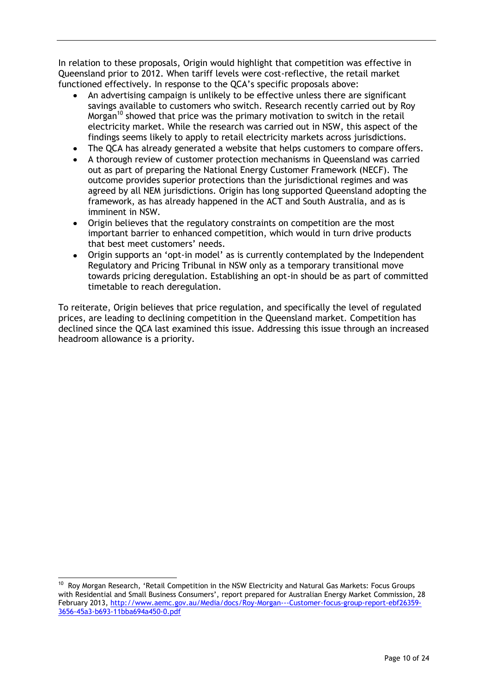In relation to these proposals, Origin would highlight that competition was effective in Queensland prior to 2012. When tariff levels were cost-reflective, the retail market functioned effectively. In response to the QCA"s specific proposals above:

- An advertising campaign is unlikely to be effective unless there are significant savings available to customers who switch. Research recently carried out by Roy Morgan<sup>10</sup> showed that price was the primary motivation to switch in the retail electricity market. While the research was carried out in NSW, this aspect of the findings seems likely to apply to retail electricity markets across jurisdictions.
- The QCA has already generated a website that helps customers to compare offers.
- A thorough review of customer protection mechanisms in Queensland was carried out as part of preparing the National Energy Customer Framework (NECF). The outcome provides superior protections than the jurisdictional regimes and was agreed by all NEM jurisdictions. Origin has long supported Queensland adopting the framework, as has already happened in the ACT and South Australia, and as is imminent in NSW.
- Origin believes that the regulatory constraints on competition are the most important barrier to enhanced competition, which would in turn drive products that best meet customers' needs.
- Origin supports an 'opt-in model' as is currently contemplated by the Independent Regulatory and Pricing Tribunal in NSW only as a temporary transitional move towards pricing deregulation. Establishing an opt-in should be as part of committed timetable to reach deregulation.

To reiterate, Origin believes that price regulation, and specifically the level of regulated prices, are leading to declining competition in the Queensland market. Competition has declined since the QCA last examined this issue. Addressing this issue through an increased headroom allowance is a priority.

l

<sup>&</sup>lt;sup>10</sup> Roy Morgan Research, 'Retail Competition in the NSW Electricity and Natural Gas Markets: Focus Groups with Residential and Small Business Consumers', report prepared for Australian Energy Market Commission, 28 February 2013, [http://www.aemc.gov.au/Media/docs/Roy-Morgan---Customer-focus-group-report-ebf26359-](http://www.aemc.gov.au/Media/docs/Roy-Morgan---Customer-focus-group-report-ebf26359-3656-45a3-b693-11bba694a450-0.pdf) [3656-45a3-b693-11bba694a450-0.pdf](http://www.aemc.gov.au/Media/docs/Roy-Morgan---Customer-focus-group-report-ebf26359-3656-45a3-b693-11bba694a450-0.pdf)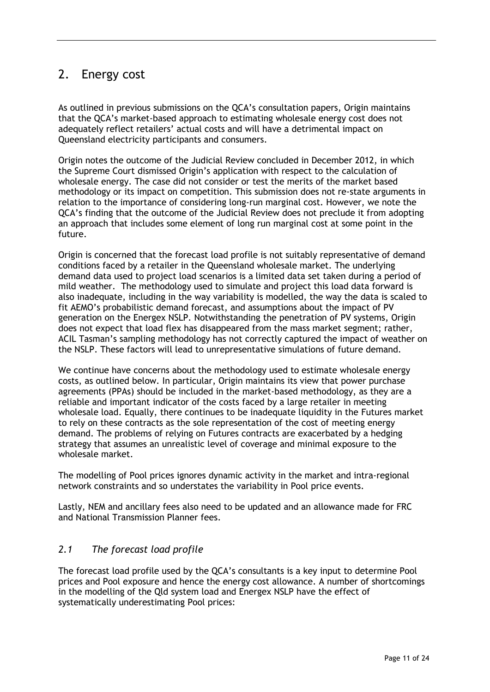## <span id="page-10-0"></span>2. Energy cost

As outlined in previous submissions on the QCA"s consultation papers, Origin maintains that the QCA"s market-based approach to estimating wholesale energy cost does not adequately reflect retailers' actual costs and will have a detrimental impact on Queensland electricity participants and consumers.

Origin notes the outcome of the Judicial Review concluded in December 2012, in which the Supreme Court dismissed Origin"s application with respect to the calculation of wholesale energy. The case did not consider or test the merits of the market based methodology or its impact on competition. This submission does not re-state arguments in relation to the importance of considering long-run marginal cost. However, we note the QCA"s finding that the outcome of the Judicial Review does not preclude it from adopting an approach that includes some element of long run marginal cost at some point in the future.

Origin is concerned that the forecast load profile is not suitably representative of demand conditions faced by a retailer in the Queensland wholesale market. The underlying demand data used to project load scenarios is a limited data set taken during a period of mild weather. The methodology used to simulate and project this load data forward is also inadequate, including in the way variability is modelled, the way the data is scaled to fit AEMO"s probabilistic demand forecast, and assumptions about the impact of PV generation on the Energex NSLP. Notwithstanding the penetration of PV systems, Origin does not expect that load flex has disappeared from the mass market segment; rather, ACIL Tasman"s sampling methodology has not correctly captured the impact of weather on the NSLP. These factors will lead to unrepresentative simulations of future demand.

We continue have concerns about the methodology used to estimate wholesale energy costs, as outlined below. In particular, Origin maintains its view that power purchase agreements (PPAs) should be included in the market-based methodology, as they are a reliable and important indicator of the costs faced by a large retailer in meeting wholesale load. Equally, there continues to be inadequate liquidity in the Futures market to rely on these contracts as the sole representation of the cost of meeting energy demand. The problems of relying on Futures contracts are exacerbated by a hedging strategy that assumes an unrealistic level of coverage and minimal exposure to the wholesale market.

The modelling of Pool prices ignores dynamic activity in the market and intra-regional network constraints and so understates the variability in Pool price events.

Lastly, NEM and ancillary fees also need to be updated and an allowance made for FRC and National Transmission Planner fees.

### *2.1 The forecast load profile*

The forecast load profile used by the QCA"s consultants is a key input to determine Pool prices and Pool exposure and hence the energy cost allowance. A number of shortcomings in the modelling of the Qld system load and Energex NSLP have the effect of systematically underestimating Pool prices: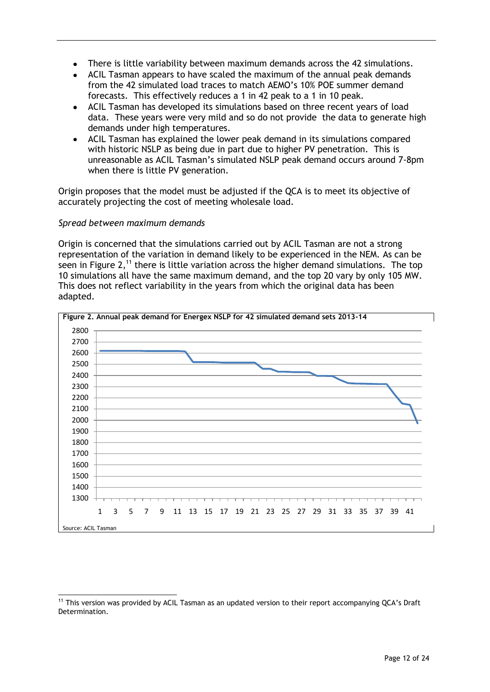- There is little variability between maximum demands across the 42 simulations.
- ACIL Tasman appears to have scaled the maximum of the annual peak demands from the 42 simulated load traces to match AEMO"s 10% POE summer demand forecasts. This effectively reduces a 1 in 42 peak to a 1 in 10 peak.
- ACIL Tasman has developed its simulations based on three recent years of load data. These years were very mild and so do not provide the data to generate high demands under high temperatures.
- ACIL Tasman has explained the lower peak demand in its simulations compared with historic NSLP as being due in part due to higher PV penetration. This is unreasonable as ACIL Tasman"s simulated NSLP peak demand occurs around 7-8pm when there is little PV generation.

Origin proposes that the model must be adjusted if the QCA is to meet its objective of accurately projecting the cost of meeting wholesale load.

#### *Spread between maximum demands*

 $\overline{a}$ 

Origin is concerned that the simulations carried out by ACIL Tasman are not a strong representation of the variation in demand likely to be experienced in the NEM. As can be seen in Figure 2,<sup>11</sup> there is little variation across the higher demand simulations. The top 10 simulations all have the same maximum demand, and the top 20 vary by only 105 MW. This does not reflect variability in the years from which the original data has been adapted.



<sup>&</sup>lt;sup>11</sup> This version was provided by ACIL Tasman as an updated version to their report accompanying QCA's Draft Determination.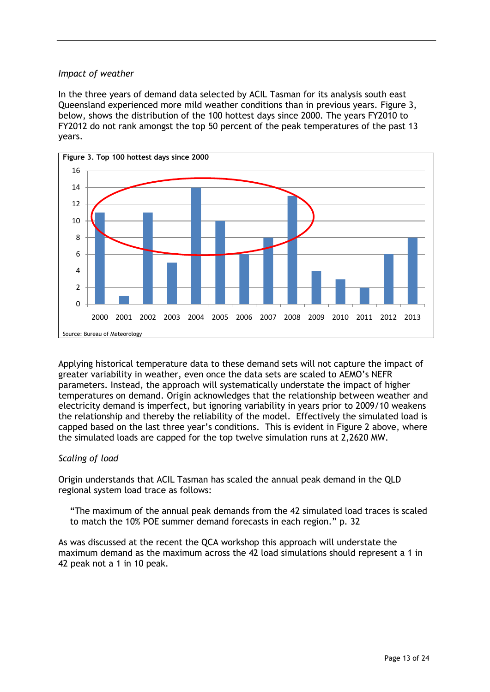#### *Impact of weather*

In the three years of demand data selected by ACIL Tasman for its analysis south east Queensland experienced more mild weather conditions than in previous years. Figure 3, below, shows the distribution of the 100 hottest days since 2000. The years FY2010 to FY2012 do not rank amongst the top 50 percent of the peak temperatures of the past 13 years.



Applying historical temperature data to these demand sets will not capture the impact of greater variability in weather, even once the data sets are scaled to AEMO"s NEFR parameters. Instead, the approach will systematically understate the impact of higher temperatures on demand. Origin acknowledges that the relationship between weather and electricity demand is imperfect, but ignoring variability in years prior to 2009/10 weakens the relationship and thereby the reliability of the model. Effectively the simulated load is capped based on the last three year"s conditions. This is evident in Figure 2 above, where the simulated loads are capped for the top twelve simulation runs at 2,2620 MW.

#### *Scaling of load*

Origin understands that ACIL Tasman has scaled the annual peak demand in the QLD regional system load trace as follows:

"The maximum of the annual peak demands from the 42 simulated load traces is scaled to match the 10% POE summer demand forecasts in each region." p. 32

As was discussed at the recent the QCA workshop this approach will understate the maximum demand as the maximum across the 42 load simulations should represent a 1 in 42 peak not a 1 in 10 peak.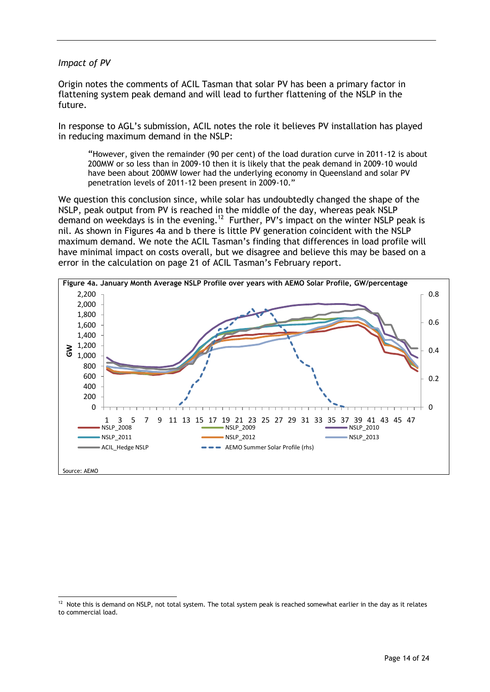#### *Impact of PV*

Origin notes the comments of ACIL Tasman that solar PV has been a primary factor in flattening system peak demand and will lead to further flattening of the NSLP in the future.

In response to AGL"s submission, ACIL notes the role it believes PV installation has played in reducing maximum demand in the NSLP:

"However, given the remainder (90 per cent) of the load duration curve in 2011-12 is about 200MW or so less than in 2009-10 then it is likely that the peak demand in 2009-10 would have been about 200MW lower had the underlying economy in Queensland and solar PV penetration levels of 2011-12 been present in 2009-10."

We question this conclusion since, while solar has undoubtedly changed the shape of the NSLP, peak output from PV is reached in the middle of the day, whereas peak NSLP demand on weekdays is in the evening.<sup>12</sup> Further, PV's impact on the winter NSLP peak is nil. As shown in Figures 4a and b there is little PV generation coincident with the NSLP maximum demand. We note the ACIL Tasman"s finding that differences in load profile will have minimal impact on costs overall, but we disagree and believe this may be based on a error in the calculation on page 21 of ACIL Tasman"s February report.



 $12$  Note this is demand on NSLP, not total system. The total system peak is reached somewhat earlier in the day as it relates to commercial load.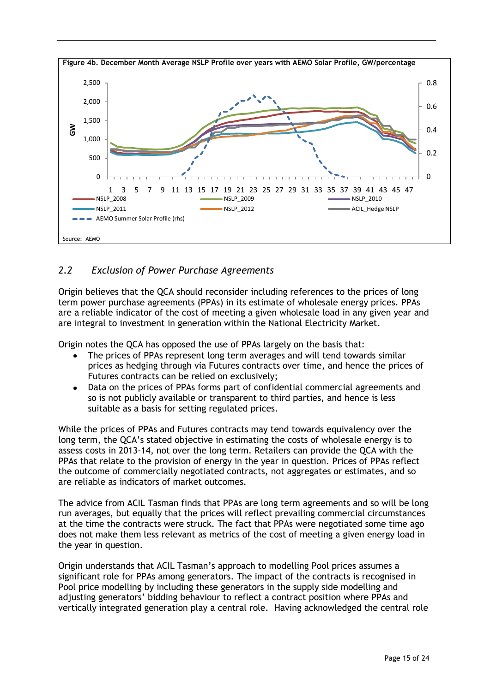

## *2.2 Exclusion of Power Purchase Agreements*

Origin believes that the QCA should reconsider including references to the prices of long term power purchase agreements (PPAs) in its estimate of wholesale energy prices. PPAs are a reliable indicator of the cost of meeting a given wholesale load in any given year and are integral to investment in generation within the National Electricity Market.

Origin notes the QCA has opposed the use of PPAs largely on the basis that:

- The prices of PPAs represent long term averages and will tend towards similar  $\bullet$ prices as hedging through via Futures contracts over time, and hence the prices of Futures contracts can be relied on exclusively;
- Data on the prices of PPAs forms part of confidential commercial agreements and so is not publicly available or transparent to third parties, and hence is less suitable as a basis for setting regulated prices.

While the prices of PPAs and Futures contracts may tend towards equivalency over the long term, the QCA"s stated objective in estimating the costs of wholesale energy is to assess costs in 2013-14, not over the long term. Retailers can provide the QCA with the PPAs that relate to the provision of energy in the year in question. Prices of PPAs reflect the outcome of commercially negotiated contracts, not aggregates or estimates, and so are reliable as indicators of market outcomes.

The advice from ACIL Tasman finds that PPAs are long term agreements and so will be long run averages, but equally that the prices will reflect prevailing commercial circumstances at the time the contracts were struck. The fact that PPAs were negotiated some time ago does not make them less relevant as metrics of the cost of meeting a given energy load in the year in question.

Origin understands that ACIL Tasman"s approach to modelling Pool prices assumes a significant role for PPAs among generators. The impact of the contracts is recognised in Pool price modelling by including these generators in the supply side modelling and adjusting generators' bidding behaviour to reflect a contract position where PPAs and vertically integrated generation play a central role. Having acknowledged the central role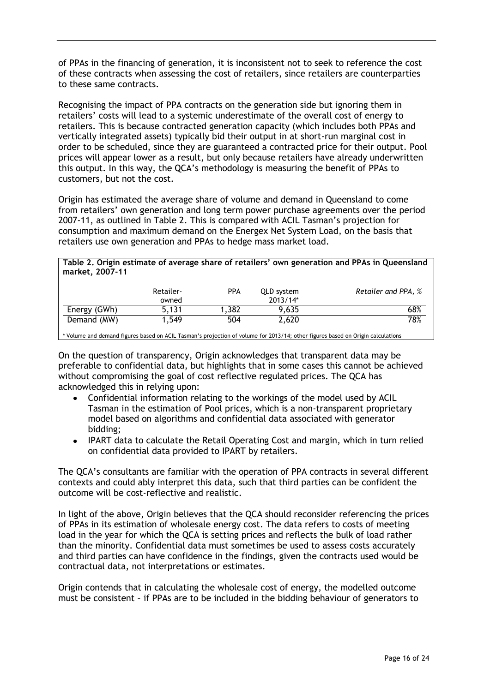of PPAs in the financing of generation, it is inconsistent not to seek to reference the cost of these contracts when assessing the cost of retailers, since retailers are counterparties to these same contracts.

Recognising the impact of PPA contracts on the generation side but ignoring them in retailers' costs will lead to a systemic underestimate of the overall cost of energy to retailers. This is because contracted generation capacity (which includes both PPAs and vertically integrated assets) typically bid their output in at short-run marginal cost in order to be scheduled, since they are guaranteed a contracted price for their output. Pool prices will appear lower as a result, but only because retailers have already underwritten this output. In this way, the QCA"s methodology is measuring the benefit of PPAs to customers, but not the cost.

Origin has estimated the average share of volume and demand in Queensland to come from retailers" own generation and long term power purchase agreements over the period 2007-11, as outlined in Table 2. This is compared with ACIL Tasman"s projection for consumption and maximum demand on the Energex Net System Load, on the basis that retailers use own generation and PPAs to hedge mass market load.

#### **Table 2. Origin estimate of average share of retailers' own generation and PPAs in Queensland market, 2007-11**

|              | Retailer-<br>owned | <b>PPA</b> | QLD system<br>$2013/14*$ | Retailer and PPA, % |
|--------------|--------------------|------------|--------------------------|---------------------|
| Energy (GWh) | 5.131              | .382       | 9.635                    | 68%                 |
| Demand (MW)  | .549               | 504        | 2,620                    | 78%                 |

\* Volume and demand figures based on ACIL Tasman"s projection of volume for 2013/14; other figures based on Origin calculations

On the question of transparency, Origin acknowledges that transparent data may be preferable to confidential data, but highlights that in some cases this cannot be achieved without compromising the goal of cost reflective regulated prices. The QCA has acknowledged this in relying upon:

- Confidential information relating to the workings of the model used by ACIL Tasman in the estimation of Pool prices, which is a non-transparent proprietary model based on algorithms and confidential data associated with generator bidding;
- IPART data to calculate the Retail Operating Cost and margin, which in turn relied on confidential data provided to IPART by retailers.

The QCA"s consultants are familiar with the operation of PPA contracts in several different contexts and could ably interpret this data, such that third parties can be confident the outcome will be cost-reflective and realistic.

In light of the above, Origin believes that the QCA should reconsider referencing the prices of PPAs in its estimation of wholesale energy cost. The data refers to costs of meeting load in the year for which the QCA is setting prices and reflects the bulk of load rather than the minority. Confidential data must sometimes be used to assess costs accurately and third parties can have confidence in the findings, given the contracts used would be contractual data, not interpretations or estimates.

Origin contends that in calculating the wholesale cost of energy, the modelled outcome must be consistent – if PPAs are to be included in the bidding behaviour of generators to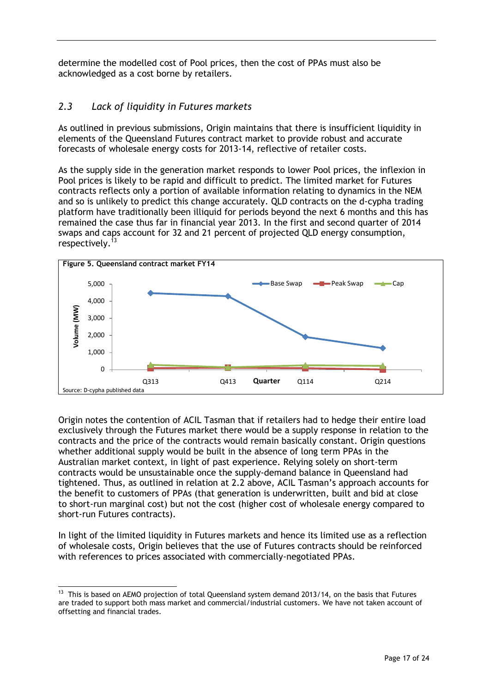determine the modelled cost of Pool prices, then the cost of PPAs must also be acknowledged as a cost borne by retailers.

## *2.3 Lack of liquidity in Futures markets*

As outlined in previous submissions, Origin maintains that there is insufficient liquidity in elements of the Queensland Futures contract market to provide robust and accurate forecasts of wholesale energy costs for 2013-14, reflective of retailer costs.

As the supply side in the generation market responds to lower Pool prices, the inflexion in Pool prices is likely to be rapid and difficult to predict. The limited market for Futures contracts reflects only a portion of available information relating to dynamics in the NEM and so is unlikely to predict this change accurately. QLD contracts on the d-cypha trading platform have traditionally been illiquid for periods beyond the next 6 months and this has remained the case thus far in financial year 2013. In the first and second quarter of 2014 swaps and caps account for 32 and 21 percent of projected QLD energy consumption, respectively.<sup>13</sup>



Origin notes the contention of ACIL Tasman that if retailers had to hedge their entire load exclusively through the Futures market there would be a supply response in relation to the contracts and the price of the contracts would remain basically constant. Origin questions whether additional supply would be built in the absence of long term PPAs in the Australian market context, in light of past experience. Relying solely on short-term contracts would be unsustainable once the supply-demand balance in Queensland had tightened. Thus, as outlined in relation at 2.2 above, ACIL Tasman"s approach accounts for the benefit to customers of PPAs (that generation is underwritten, built and bid at close to short-run marginal cost) but not the cost (higher cost of wholesale energy compared to short-run Futures contracts).

In light of the limited liquidity in Futures markets and hence its limited use as a reflection of wholesale costs, Origin believes that the use of Futures contracts should be reinforced with references to prices associated with commercially-negotiated PPAs.

 $\overline{a}$ 

 $^{13}$  This is based on AEMO projection of total Queensland system demand 2013/14, on the basis that Futures are traded to support both mass market and commercial/industrial customers. We have not taken account of offsetting and financial trades.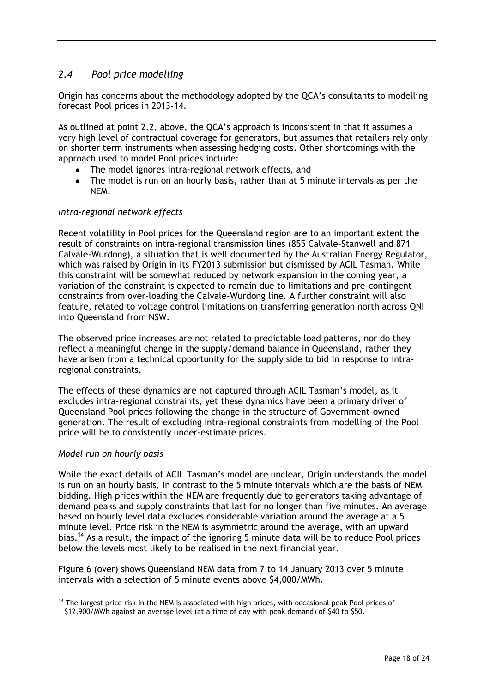## *2.4 Pool price modelling*

Origin has concerns about the methodology adopted by the QCA"s consultants to modelling forecast Pool prices in 2013-14.

As outlined at point 2.2, above, the QCA"s approach is inconsistent in that it assumes a very high level of contractual coverage for generators, but assumes that retailers rely only on shorter term instruments when assessing hedging costs. Other shortcomings with the approach used to model Pool prices include:

- The model ignores intra-regional network effects, and
- The model is run on an hourly basis, rather than at 5 minute intervals as per the  $\bullet$ NEM.

#### *Intra-regional network effects*

Recent volatility in Pool prices for the Queensland region are to an important extent the result of constraints on intra-regional transmission lines (855 Calvale–Stanwell and 871 Calvale-Wurdong), a situation that is well documented by the Australian Energy Regulator, which was raised by Origin in its FY2013 submission but dismissed by ACIL Tasman. While this constraint will be somewhat reduced by network expansion in the coming year, a variation of the constraint is expected to remain due to limitations and pre-contingent constraints from over-loading the Calvale-Wurdong line. A further constraint will also feature, related to voltage control limitations on transferring generation north across QNI into Queensland from NSW.

The observed price increases are not related to predictable load patterns, nor do they reflect a meaningful change in the supply/demand balance in Queensland, rather they have arisen from a technical opportunity for the supply side to bid in response to intraregional constraints.

The effects of these dynamics are not captured through ACIL Tasman"s model, as it excludes intra-regional constraints, yet these dynamics have been a primary driver of Queensland Pool prices following the change in the structure of Government-owned generation. The result of excluding intra-regional constraints from modelling of the Pool price will be to consistently under-estimate prices.

#### *Model run on hourly basis*

While the exact details of ACIL Tasman"s model are unclear, Origin understands the model is run on an hourly basis, in contrast to the 5 minute intervals which are the basis of NEM bidding. High prices within the NEM are frequently due to generators taking advantage of demand peaks and supply constraints that last for no longer than five minutes. An average based on hourly level data excludes considerable variation around the average at a 5 minute level. Price risk in the NEM is asymmetric around the average, with an upward bias.<sup>14</sup> As a result, the impact of the ignoring 5 minute data will be to reduce Pool prices below the levels most likely to be realised in the next financial year.

Figure 6 (over) shows Queensland NEM data from 7 to 14 January 2013 over 5 minute intervals with a selection of 5 minute events above \$4,000/MWh.

 $\overline{a}$ <sup>14</sup> The largest price risk in the NEM is associated with high prices, with occasional peak Pool prices of \$12,900/MWh against an average level (at a time of day with peak demand) of \$40 to \$50.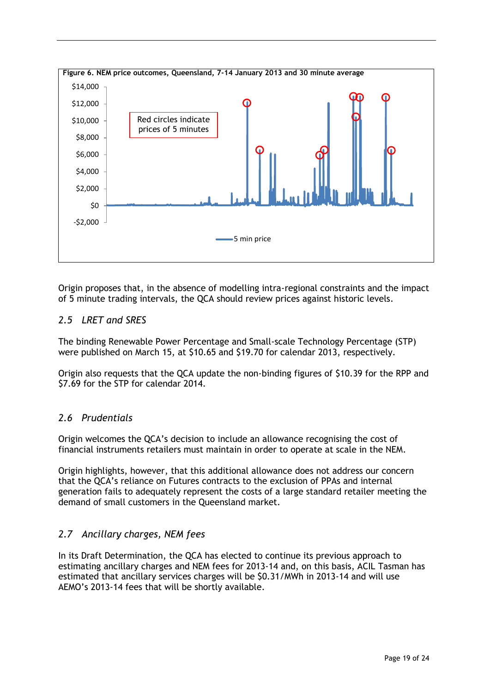

Origin proposes that, in the absence of modelling intra-regional constraints and the impact of 5 minute trading intervals, the QCA should review prices against historic levels.

### *2.5 LRET and SRES*

The binding Renewable Power Percentage and Small-scale Technology Percentage (STP) were published on March 15, at \$10.65 and \$19.70 for calendar 2013, respectively.

Origin also requests that the QCA update the non-binding figures of \$10.39 for the RPP and \$7.69 for the STP for calendar 2014.

### *2.6 Prudentials*

Origin welcomes the QCA"s decision to include an allowance recognising the cost of financial instruments retailers must maintain in order to operate at scale in the NEM.

Origin highlights, however, that this additional allowance does not address our concern that the QCA"s reliance on Futures contracts to the exclusion of PPAs and internal generation fails to adequately represent the costs of a large standard retailer meeting the demand of small customers in the Queensland market.

### *2.7 Ancillary charges, NEM fees*

In its Draft Determination, the QCA has elected to continue its previous approach to estimating ancillary charges and NEM fees for 2013-14 and, on this basis, ACIL Tasman has estimated that ancillary services charges will be \$0.31/MWh in 2013-14 and will use AEMO"s 2013-14 fees that will be shortly available.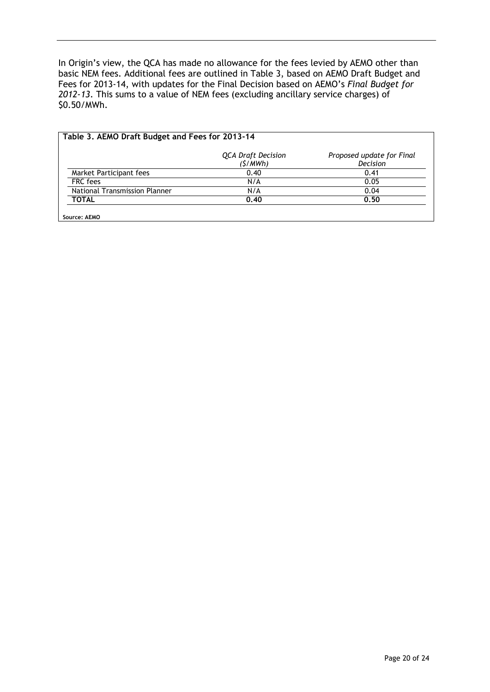In Origin's view, the QCA has made no allowance for the fees levied by AEMO other than basic NEM fees. Additional fees are outlined in Table 3, based on AEMO Draft Budget and Fees for 2013-14, with updates for the Final Decision based on AEMO"s *Final Budget for 2012-13*. This sums to a value of NEM fees (excluding ancillary service charges) of \$0.50/MWh.

|                               | <b>QCA Draft Decision</b><br>(S/MWh) | Proposed update for Final<br>Decision |
|-------------------------------|--------------------------------------|---------------------------------------|
| Market Participant fees       | 0.40                                 | 0.41                                  |
| FRC fees                      | N/A                                  | 0.05                                  |
| National Transmission Planner | N/A                                  | 0.04                                  |
| <b>TOTAL</b>                  | 0.40                                 | 0.50                                  |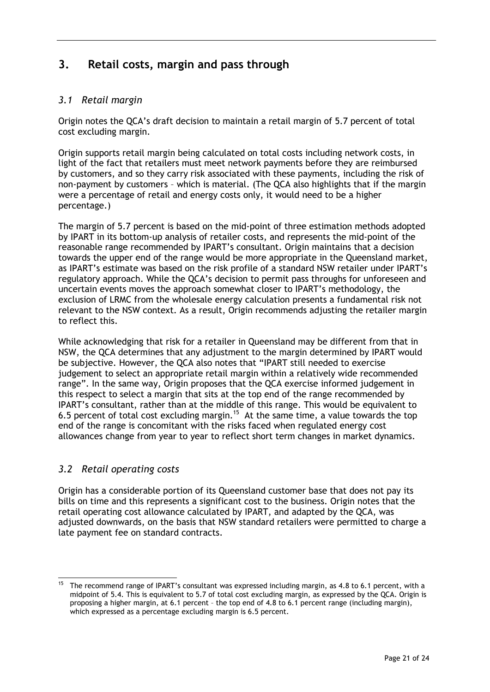## <span id="page-20-0"></span>**3. Retail costs, margin and pass through**

## *3.1 Retail margin*

Origin notes the QCA"s draft decision to maintain a retail margin of 5.7 percent of total cost excluding margin.

Origin supports retail margin being calculated on total costs including network costs, in light of the fact that retailers must meet network payments before they are reimbursed by customers, and so they carry risk associated with these payments, including the risk of non-payment by customers – which is material. (The QCA also highlights that if the margin were a percentage of retail and energy costs only, it would need to be a higher percentage.)

The margin of 5.7 percent is based on the mid-point of three estimation methods adopted by IPART in its bottom-up analysis of retailer costs, and represents the mid-point of the reasonable range recommended by IPART"s consultant. Origin maintains that a decision towards the upper end of the range would be more appropriate in the Queensland market, as IPART's estimate was based on the risk profile of a standard NSW retailer under IPART's regulatory approach. While the QCA"s decision to permit pass throughs for unforeseen and uncertain events moves the approach somewhat closer to IPART"s methodology, the exclusion of LRMC from the wholesale energy calculation presents a fundamental risk not relevant to the NSW context. As a result, Origin recommends adjusting the retailer margin to reflect this.

While acknowledging that risk for a retailer in Queensland may be different from that in NSW, the QCA determines that any adjustment to the margin determined by IPART would be subjective. However, the QCA also notes that "IPART still needed to exercise judgement to select an appropriate retail margin within a relatively wide recommended range". In the same way, Origin proposes that the QCA exercise informed judgement in this respect to select a margin that sits at the top end of the range recommended by IPART"s consultant, rather than at the middle of this range. This would be equivalent to 6.5 percent of total cost excluding margin.<sup>15</sup> At the same time, a value towards the top end of the range is concomitant with the risks faced when regulated energy cost allowances change from year to year to reflect short term changes in market dynamics.

## *3.2 Retail operating costs*

l

Origin has a considerable portion of its Queensland customer base that does not pay its bills on time and this represents a significant cost to the business. Origin notes that the retail operating cost allowance calculated by IPART, and adapted by the QCA, was adjusted downwards, on the basis that NSW standard retailers were permitted to charge a late payment fee on standard contracts.

<sup>&</sup>lt;sup>15</sup> The recommend range of IPART's consultant was expressed including margin, as 4.8 to 6.1 percent, with a midpoint of 5.4. This is equivalent to 5.7 of total cost excluding margin, as expressed by the QCA. Origin is proposing a higher margin, at 6.1 percent – the top end of 4.8 to 6.1 percent range (including margin), which expressed as a percentage excluding margin is 6.5 percent.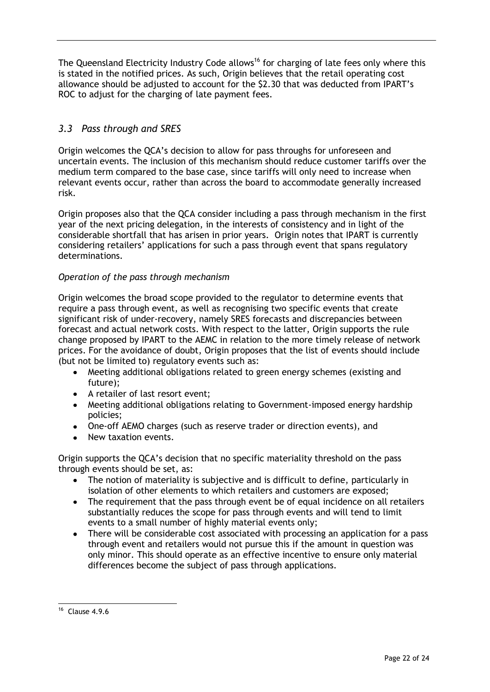The Queensland Electricity Industry Code allows<sup>16</sup> for charging of late fees only where this is stated in the notified prices. As such, Origin believes that the retail operating cost allowance should be adjusted to account for the \$2.30 that was deducted from IPART"s ROC to adjust for the charging of late payment fees.

## *3.3 Pass through and SRES*

Origin welcomes the QCA"s decision to allow for pass throughs for unforeseen and uncertain events. The inclusion of this mechanism should reduce customer tariffs over the medium term compared to the base case, since tariffs will only need to increase when relevant events occur, rather than across the board to accommodate generally increased risk.

Origin proposes also that the QCA consider including a pass through mechanism in the first year of the next pricing delegation, in the interests of consistency and in light of the considerable shortfall that has arisen in prior years. Origin notes that IPART is currently considering retailers" applications for such a pass through event that spans regulatory determinations.

#### *Operation of the pass through mechanism*

Origin welcomes the broad scope provided to the regulator to determine events that require a pass through event, as well as recognising two specific events that create significant risk of under-recovery, namely SRES forecasts and discrepancies between forecast and actual network costs. With respect to the latter, Origin supports the rule change proposed by IPART to the AEMC in relation to the more timely release of network prices. For the avoidance of doubt, Origin proposes that the list of events should include (but not be limited to) regulatory events such as:

- Meeting additional obligations related to green energy schemes (existing and future);
- A retailer of last resort event;
- Meeting additional obligations relating to Government-imposed energy hardship policies;
- One-off AEMO charges (such as reserve trader or direction events), and
- New taxation events.

Origin supports the QCA"s decision that no specific materiality threshold on the pass through events should be set, as:

- The notion of materiality is subjective and is difficult to define, particularly in isolation of other elements to which retailers and customers are exposed;
- The requirement that the pass through event be of equal incidence on all retailers substantially reduces the scope for pass through events and will tend to limit events to a small number of highly material events only;
- There will be considerable cost associated with processing an application for a pass through event and retailers would not pursue this if the amount in question was only minor. This should operate as an effective incentive to ensure only material differences become the subject of pass through applications.

 $\overline{a}$ 

<sup>16</sup> Clause 4.9.6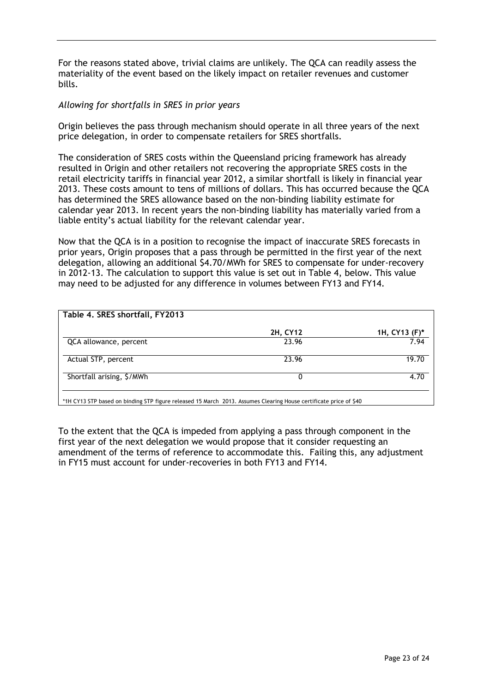For the reasons stated above, trivial claims are unlikely. The QCA can readily assess the materiality of the event based on the likely impact on retailer revenues and customer bills.

#### *Allowing for shortfalls in SRES in prior years*

Origin believes the pass through mechanism should operate in all three years of the next price delegation, in order to compensate retailers for SRES shortfalls.

The consideration of SRES costs within the Queensland pricing framework has already resulted in Origin and other retailers not recovering the appropriate SRES costs in the retail electricity tariffs in financial year 2012, a similar shortfall is likely in financial year 2013. These costs amount to tens of millions of dollars. This has occurred because the QCA has determined the SRES allowance based on the non-binding liability estimate for calendar year 2013. In recent years the non-binding liability has materially varied from a liable entity"s actual liability for the relevant calendar year.

Now that the QCA is in a position to recognise the impact of inaccurate SRES forecasts in prior years, Origin proposes that a pass through be permitted in the first year of the next delegation, allowing an additional \$4.70/MWh for SRES to compensate for under-recovery in 2012-13. The calculation to support this value is set out in Table 4, below. This value may need to be adjusted for any difference in volumes between FY13 and FY14.

| 2H, CY12 |                          |
|----------|--------------------------|
|          |                          |
| 23.96    | 1H, CY13 $(F)^*$<br>7.94 |
| 23.96    | 19.70                    |
|          | 4.70                     |
|          |                          |

\*1H CY13 STP based on binding STP figure released 15 March 2013. Assumes Clearing House certificate price of \$40

To the extent that the QCA is impeded from applying a pass through component in the first year of the next delegation we would propose that it consider requesting an amendment of the terms of reference to accommodate this. Failing this, any adjustment in FY15 must account for under-recoveries in both FY13 and FY14.